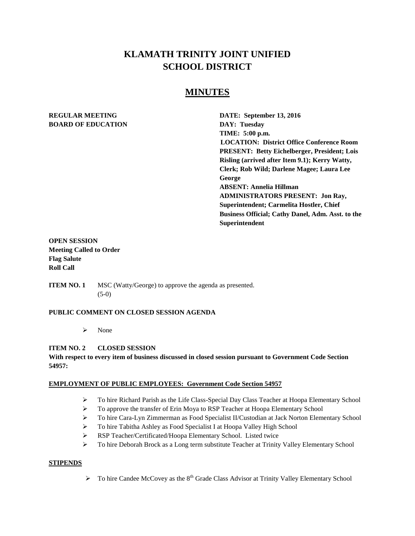# **KLAMATH TRINITY JOINT UNIFIED SCHOOL DISTRICT**

## **MINUTES**

# **BOARD OF EDUCATION DAY: Tuesday**

**REGULAR MEETING DATE: September 13, 2016 TIME: 5:00 p.m. LOCATION: District Office Conference Room PRESENT: Betty Eichelberger, President; Lois Risling (arrived after Item 9.1); Kerry Watty, Clerk; Rob Wild; Darlene Magee; Laura Lee George ABSENT: Annelia Hillman ADMINISTRATORS PRESENT: Jon Ray, Superintendent; Carmelita Hostler, Chief Business Official; Cathy Danel, Adm. Asst. to the Superintendent**

## **OPEN SESSION Meeting Called to Order Flag Salute Roll Call**

**ITEM NO. 1** MSC (Watty/George) to approve the agenda as presented. (5-0)

#### **PUBLIC COMMENT ON CLOSED SESSION AGENDA**

 $\triangleright$  None

## **ITEM NO. 2 CLOSED SESSION**

## **With respect to every item of business discussed in closed session pursuant to Government Code Section 54957:**

#### **EMPLOYMENT OF PUBLIC EMPLOYEES: Government Code Section 54957**

- $\triangleright$  To hire Richard Parish as the Life Class-Special Day Class Teacher at Hoopa Elementary School
- $\triangleright$  To approve the transfer of Erin Moya to RSP Teacher at Hoopa Elementary School
- To hire Cara-Lyn Zimmerman as Food Specialist II/Custodian at Jack Norton Elementary School
- To hire Tabitha Ashley as Food Specialist I at Hoopa Valley High School
- RSP Teacher/Certificated/Hoopa Elementary School. Listed twice
- To hire Deborah Brock as a Long term substitute Teacher at Trinity Valley Elementary School

#### **STIPENDS**

 $\triangleright$  To hire Candee McCovey as the 8<sup>th</sup> Grade Class Advisor at Trinity Valley Elementary School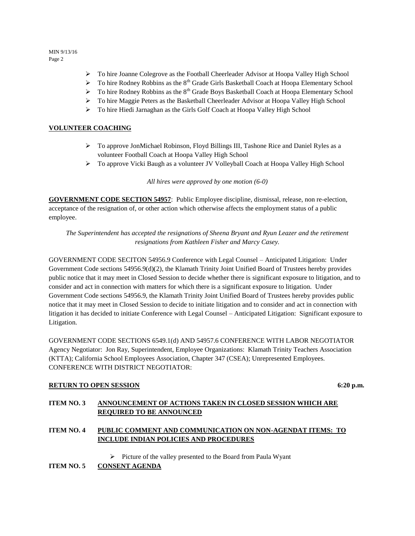MIN 9/13/16 Page 2

- To hire Joanne Colegrove as the Football Cheerleader Advisor at Hoopa Valley High School
- $\triangleright$  To hire Rodney Robbins as the 8<sup>th</sup> Grade Girls Basketball Coach at Hoopa Elementary School
- $\triangleright$  To hire Rodney Robbins as the 8<sup>th</sup> Grade Boys Basketball Coach at Hoopa Elementary School
- $\triangleright$  To hire Maggie Peters as the Basketball Cheerleader Advisor at Hoopa Valley High School
- To hire Hiedi Jarnaghan as the Girls Golf Coach at Hoopa Valley High School

## **VOLUNTEER COACHING**

- $\triangleright$  To approve JonMichael Robinson, Floyd Billings III, Tashone Rice and Daniel Ryles as a volunteer Football Coach at Hoopa Valley High School
- To approve Vicki Baugh as a volunteer JV Volleyball Coach at Hoopa Valley High School

*All hires were approved by one motion (6-0)* 

**GOVERNMENT CODE SECTION 54957**: Public Employee discipline, dismissal, release, non re-election, acceptance of the resignation of, or other action which otherwise affects the employment status of a public employee.

*The Superintendent has accepted the resignations of Sheena Bryant and Ryun Leazer and the retirement resignations from Kathleen Fisher and Marcy Casey.* 

GOVERNMENT CODE SECITON 54956.9 Conference with Legal Counsel – Anticipated Litigation: Under Government Code sections 54956.9(d)(2), the Klamath Trinity Joint Unified Board of Trustees hereby provides public notice that it may meet in Closed Session to decide whether there is significant exposure to litigation, and to consider and act in connection with matters for which there is a significant exposure to litigation. Under Government Code sections 54956.9, the Klamath Trinity Joint Unified Board of Trustees hereby provides public notice that it may meet in Closed Session to decide to initiate litigation and to consider and act in connection with litigation it has decided to initiate Conference with Legal Counsel – Anticipated Litigation: Significant exposure to Litigation.

GOVERNMENT CODE SECTIONS 6549.1(d) AND 54957.6 CONFERENCE WITH LABOR NEGOTIATOR Agency Negotiator: Jon Ray, Superintendent, Employee Organizations: Klamath Trinity Teachers Association (KTTA); California School Employees Association, Chapter 347 (CSEA); Unrepresented Employees. CONFERENCE WITH DISTRICT NEGOTIATOR:

#### **RETURN TO OPEN SESSION** 6:20 **p.m.**

## **ITEM NO. 3 ANNOUNCEMENT OF ACTIONS TAKEN IN CLOSED SESSION WHICH ARE REQUIRED TO BE ANNOUNCED**

## **ITEM NO. 4 PUBLIC COMMENT AND COMMUNICATION ON NON-AGENDAT ITEMS: TO INCLUDE INDIAN POLICIES AND PROCEDURES**

 $\triangleright$  Picture of the valley presented to the Board from Paula Wyant

**ITEM NO. 5 CONSENT AGENDA**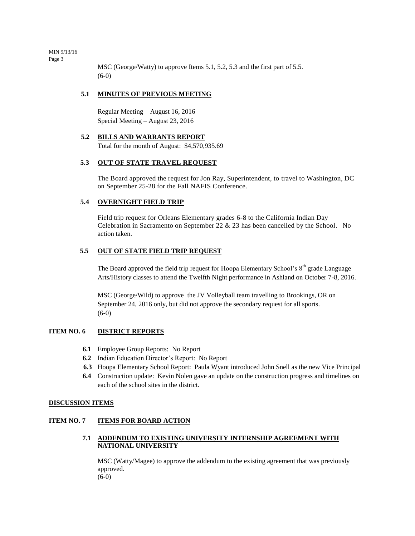MIN 9/13/16 Page 3

> MSC (George/Watty) to approve Items 5.1, 5.2, 5.3 and the first part of 5.5. (6-0)

#### **5.1 MINUTES OF PREVIOUS MEETING**

Regular Meeting – August 16, 2016 Special Meeting – August 23, 2016

#### **5.2 BILLS AND WARRANTS REPORT**

Total for the month of August: \$4,570,935.69

#### **5.3 OUT OF STATE TRAVEL REQUEST**

The Board approved the request for Jon Ray, Superintendent, to travel to Washington, DC on September 25-28 for the Fall NAFIS Conference.

#### **5.4 OVERNIGHT FIELD TRIP**

Field trip request for Orleans Elementary grades 6-8 to the California Indian Day Celebration in Sacramento on September 22 & 23 has been cancelled by the School. No action taken.

#### **5.5 OUT OF STATE FIELD TRIP REQUEST**

The Board approved the field trip request for Hoopa Elementary School's  $8<sup>th</sup>$  grade Language Arts/History classes to attend the Twelfth Night performance in Ashland on October 7-8, 2016.

MSC (George/Wild) to approve the JV Volleyball team travelling to Brookings, OR on September 24, 2016 only, but did not approve the secondary request for all sports. (6-0)

#### **ITEM NO. 6 DISTRICT REPORTS**

- **6.1** Employee Group Reports: No Report
- **6.2** Indian Education Director's Report: No Report
- **6.3** Hoopa Elementary School Report: Paula Wyant introduced John Snell as the new Vice Principal
- **6.4** Construction update: Kevin Nolen gave an update on the construction progress and timelines on each of the school sites in the district.

#### **DISCUSSION ITEMS**

#### **ITEM NO. 7 ITEMS FOR BOARD ACTION**

#### **7.1 ADDENDUM TO EXISTING UNIVERSITY INTERNSHIP AGREEMENT WITH NATIONAL UNIVERSITY**

MSC (Watty/Magee) to approve the addendum to the existing agreement that was previously approved. (6-0)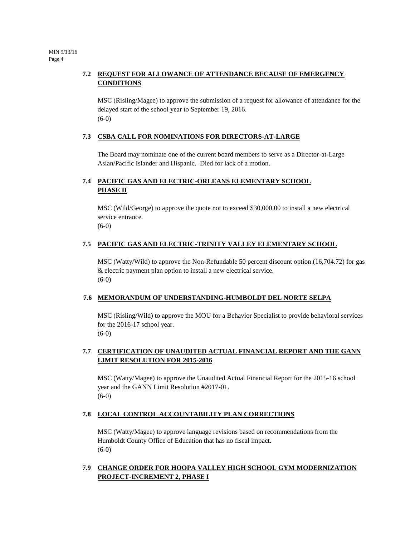## **7.2 REQUEST FOR ALLOWANCE OF ATTENDANCE BECAUSE OF EMERGENCY CONDITIONS**

MSC (Risling/Magee) to approve the submission of a request for allowance of attendance for the delayed start of the school year to September 19, 2016. (6-0)

### **7.3 CSBA CALL FOR NOMINATIONS FOR DIRECTORS-AT-LARGE**

The Board may nominate one of the current board members to serve as a Director-at-Large Asian/Pacific Islander and Hispanic. Died for lack of a motion.

## **7.4 PACIFIC GAS AND ELECTRIC-ORLEANS ELEMENTARY SCHOOL PHASE II**

MSC (Wild/George) to approve the quote not to exceed \$30,000.00 to install a new electrical service entrance.

(6-0)

## **7.5 PACIFIC GAS AND ELECTRIC-TRINITY VALLEY ELEMENTARY SCHOOL**

MSC (Watty/Wild) to approve the Non-Refundable 50 percent discount option (16,704.72) for gas & electric payment plan option to install a new electrical service. (6-0)

## **7.6 MEMORANDUM OF UNDERSTANDING-HUMBOLDT DEL NORTE SELPA**

MSC (Risling/Wild) to approve the MOU for a Behavior Specialist to provide behavioral services for the 2016-17 school year. (6-0)

## **7.7 CERTIFICATION OF UNAUDITED ACTUAL FINANCIAL REPORT AND THE GANN LIMIT RESOLUTION FOR 2015-2016**

MSC (Watty/Magee) to approve the Unaudited Actual Financial Report for the 2015-16 school year and the GANN Limit Resolution #2017-01. (6-0)

## **7.8 LOCAL CONTROL ACCOUNTABILITY PLAN CORRECTIONS**

MSC (Watty/Magee) to approve language revisions based on recommendations from the Humboldt County Office of Education that has no fiscal impact. (6-0)

## **7.9 CHANGE ORDER FOR HOOPA VALLEY HIGH SCHOOL GYM MODERNIZATION PROJECT-INCREMENT 2, PHASE I**